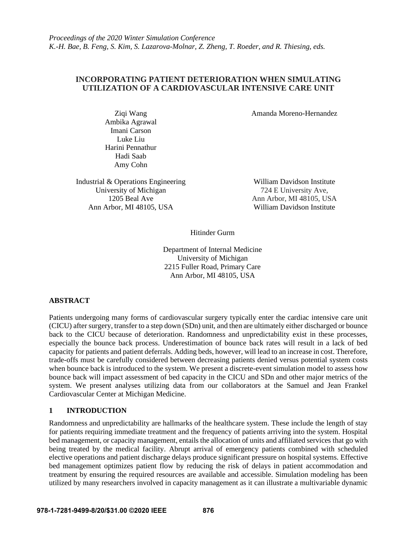# **INCORPORATING PATIENT DETERIORATION WHEN SIMULATING UTILIZATION OF A CARDIOVASCULAR INTENSIVE CARE UNIT**

Amanda Moreno-Hernandez

Ziqi Wang Ambika Agrawal Imani Carson Luke Liu Harini Pennathur Hadi Saab Amy Cohn

Industrial & Operations Engineering William Davidson Institute University of Michigan 724 E University Ave, Ann Arbor, MI 48105, USA William Davidson Institute

1205 Beal Ave Ann Arbor, MI 48105, USA

Hitinder Gurm

Department of Internal Medicine University of Michigan 2215 Fuller Road, Primary Care Ann Arbor, MI 48105, USA

# **ABSTRACT**

Patients undergoing many forms of cardiovascular surgery typically enter the cardiac intensive care unit (CICU) after surgery, transfer to a step down (SDn) unit, and then are ultimately either discharged or bounce back to the CICU because of deterioration. Randomness and unpredictability exist in these processes, especially the bounce back process. Underestimation of bounce back rates will result in a lack of bed capacity for patients and patient deferrals. Adding beds, however, will lead to an increase in cost. Therefore, trade-offs must be carefully considered between decreasing patients denied versus potential system costs when bounce back is introduced to the system. We present a discrete-event simulation model to assess how bounce back will impact assessment of bed capacity in the CICU and SDn and other major metrics of the system. We present analyses utilizing data from our collaborators at the Samuel and Jean Frankel Cardiovascular Center at Michigan Medicine.

# **1 INTRODUCTION**

Randomness and unpredictability are hallmarks of the healthcare system. These include the length of stay for patients requiring immediate treatment and the frequency of patients arriving into the system. Hospital bed management, or capacity management, entails the allocation of units and affiliated services that go with being treated by the medical facility. Abrupt arrival of emergency patients combined with scheduled elective operations and patient discharge delays produce significant pressure on hospital systems. Effective bed management optimizes patient flow by reducing the risk of delays in patient accommodation and treatment by ensuring the required resources are available and accessible. Simulation modeling has been utilized by many researchers involved in capacity management as it can illustrate a multivariable dynamic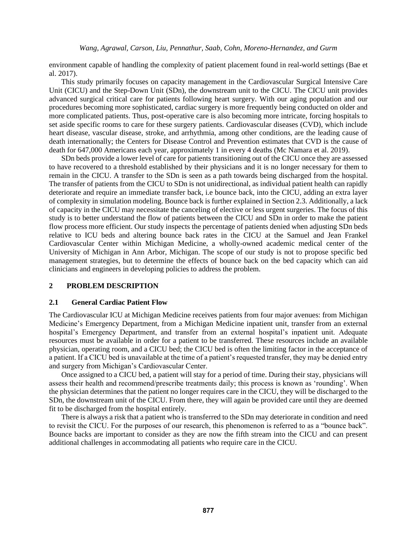environment capable of handling the complexity of patient placement found in real-world settings (Bae et al. 2017).

This study primarily focuses on capacity management in the Cardiovascular Surgical Intensive Care Unit (CICU) and the Step-Down Unit (SDn), the downstream unit to the CICU. The CICU unit provides advanced surgical critical care for patients following heart surgery. With our aging population and our procedures becoming more sophisticated, cardiac surgery is more frequently being conducted on older and more complicated patients. Thus, post-operative care is also becoming more intricate, forcing hospitals to set aside specific rooms to care for these surgery patients. Cardiovascular diseases (CVD), which include heart disease, vascular disease, stroke, and arrhythmia, among other conditions, are the leading cause of death internationally; the Centers for Disease Control and Prevention estimates that CVD is the cause of death for 647,000 Americans each year, approximately 1 in every 4 deaths (Mc Namara et al. 2019).

SDn beds provide a lower level of care for patients transitioning out of the CICU once they are assessed to have recovered to a threshold established by their physicians and it is no longer necessary for them to remain in the CICU. A transfer to the SDn is seen as a path towards being discharged from the hospital. The transfer of patients from the CICU to SDn is not unidirectional, as individual patient health can rapidly deteriorate and require an immediate transfer back, i.e bounce back, into the CICU, adding an extra layer of complexity in simulation modeling. Bounce back is further explained in Section 2.3. Additionally, a lack of capacity in the CICU may necessitate the canceling of elective or less urgent surgeries. The focus of this study is to better understand the flow of patients between the CICU and SDn in order to make the patient flow process more efficient. Our study inspects the percentage of patients denied when adjusting SDn beds relative to ICU beds and altering bounce back rates in the CICU at the Samuel and Jean Frankel Cardiovascular Center within Michigan Medicine, a wholly-owned academic medical center of the University of Michigan in Ann Arbor, Michigan. The scope of our study is not to propose specific bed management strategies, but to determine the effects of bounce back on the bed capacity which can aid clinicians and engineers in developing policies to address the problem.

## **2 PROBLEM DESCRIPTION**

### **2.1 General Cardiac Patient Flow**

The Cardiovascular ICU at Michigan Medicine receives patients from four major avenues: from Michigan Medicine's Emergency Department, from a Michigan Medicine inpatient unit, transfer from an external hospital's Emergency Department, and transfer from an external hospital's inpatient unit. Adequate resources must be available in order for a patient to be transferred. These resources include an available physician, operating room, and a CICU bed; the CICU bed is often the limiting factor in the acceptance of a patient. If a CICU bed is unavailable at the time of a patient's requested transfer, they may be denied entry and surgery from Michigan's Cardiovascular Center.

Once assigned to a CICU bed, a patient will stay for a period of time. During their stay, physicians will assess their health and recommend/prescribe treatments daily; this process is known as 'rounding'. When the physician determines that the patient no longer requires care in the CICU, they will be discharged to the SDn, the downstream unit of the CICU. From there, they will again be provided care until they are deemed fit to be discharged from the hospital entirely.

There is always a risk that a patient who is transferred to the SDn may deteriorate in condition and need to revisit the CICU. For the purposes of our research, this phenomenon is referred to as a "bounce back". Bounce backs are important to consider as they are now the fifth stream into the CICU and can present additional challenges in accommodating all patients who require care in the CICU.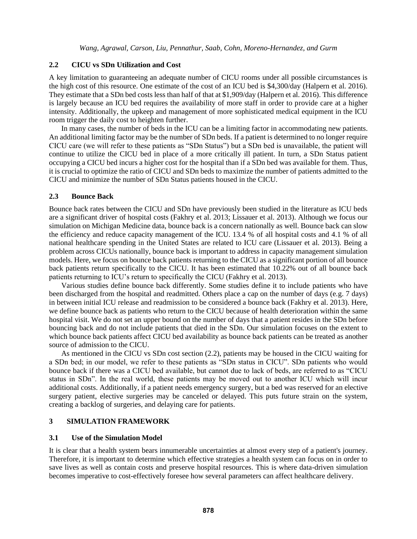## **2.2 CICU vs SDn Utilization and Cost**

A key limitation to guaranteeing an adequate number of CICU rooms under all possible circumstances is the high cost of this resource. One estimate of the cost of an ICU bed is \$4,300/day (Halpern et al. 2016). They estimate that a SDn bed costs less than half of that at \$1,909/day (Halpern et al. 2016). This difference is largely because an ICU bed requires the availability of more staff in order to provide care at a higher intensity. Additionally, the upkeep and management of more sophisticated medical equipment in the ICU room trigger the daily cost to heighten further.

In many cases, the number of beds in the ICU can be a limiting factor in accommodating new patients. An additional limiting factor may be the number of SDn beds. If a patient is determined to no longer require CICU care (we will refer to these patients as "SDn Status") but a SDn bed is unavailable, the patient will continue to utilize the CICU bed in place of a more critically ill patient. In turn, a SDn Status patient occupying a CICU bed incurs a higher cost for the hospital than if a SDn bed was available for them. Thus, it is crucial to optimize the ratio of CICU and SDn beds to maximize the number of patients admitted to the CICU and minimize the number of SDn Status patients housed in the CICU.

### **2.3 Bounce Back**

Bounce back rates between the CICU and SDn have previously been studied in the literature as ICU beds are a significant driver of hospital costs (Fakhry et al. 2013; Lissauer et al. 2013). Although we focus our simulation on Michigan Medicine data, bounce back is a concern nationally as well. Bounce back can slow the efficiency and reduce capacity management of the ICU. 13.4 % of all hospital costs and 4.1 % of all national healthcare spending in the United States are related to ICU care (Lissauer et al. 2013). Being a problem across CICUs nationally, bounce back is important to address in capacity management simulation models. Here, we focus on bounce back patients returning to the CICU as a significant portion of all bounce back patients return specifically to the CICU. It has been estimated that 10.22% out of all bounce back patients returning to ICU's return to specifically the CICU (Fakhry et al. 2013).

Various studies define bounce back differently. Some studies define it to include patients who have been discharged from the hospital and readmitted. Others place a cap on the number of days (e.g. 7 days) in between initial ICU release and readmission to be considered a bounce back (Fakhry et al. 2013). Here, we define bounce back as patients who return to the CICU because of health deterioration within the same hospital visit. We do not set an upper bound on the number of days that a patient resides in the SDn before bouncing back and do not include patients that died in the SDn. Our simulation focuses on the extent to which bounce back patients affect CICU bed availability as bounce back patients can be treated as another source of admission to the CICU.

As mentioned in the CICU vs SDn cost section (2.2), patients may be housed in the CICU waiting for a SDn bed; in our model, we refer to these patients as "SDn status in CICU". SDn patients who would bounce back if there was a CICU bed available, but cannot due to lack of beds, are referred to as "CICU status in SDn". In the real world, these patients may be moved out to another ICU which will incur additional costs. Additionally, if a patient needs emergency surgery, but a bed was reserved for an elective surgery patient, elective surgeries may be canceled or delayed. This puts future strain on the system, creating a backlog of surgeries, and delaying care for patients.

## **3 SIMULATION FRAMEWORK**

## **3.1 Use of the Simulation Model**

It is clear that a health system bears innumerable uncertainties at almost every step of a patient's journey. Therefore, it is important to determine which effective strategies a health system can focus on in order to save lives as well as contain costs and preserve hospital resources. This is where data-driven simulation becomes imperative to cost-effectively foresee how several parameters can affect healthcare delivery.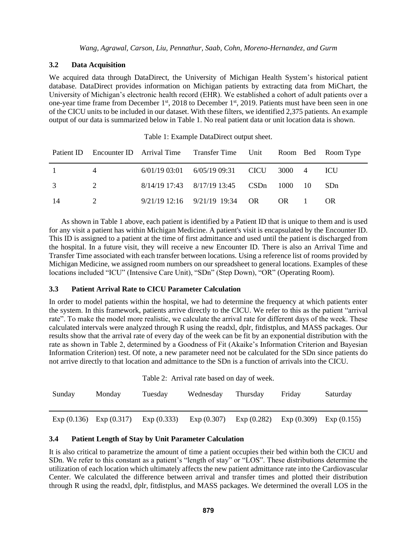## **3.2 Data Acquisition**

We acquired data through DataDirect, the University of Michigan Health System's historical patient database. DataDirect provides information on Michigan patients by extracting data from MiChart, the University of Michigan's electronic health record (EHR). We established a cohort of adult patients over a one-year time frame from December 1<sup>st</sup>, 2018 to December 1<sup>st</sup>, 2019. Patients must have been seen in one of the CICU units to be included in our dataset. With these filters, we identified 2,375 patients. An example output of our data is summarized below in Table 1. No real patient data or unit location data is shown.

|              |   | Patient ID Encounter ID Arrival Time Transfer Time Unit Room Bed Room Type |        |    |                 |
|--------------|---|----------------------------------------------------------------------------|--------|----|-----------------|
| $\mathbf{1}$ | 4 | $6/01/1903:01$ $6/05/1909:31$ CICU                                         | 3000 4 |    | ICU.            |
|              |   | 8/14/19 17:43 8/17/19 13:45 CSDn                                           | 1000   | 10 | SD <sub>n</sub> |
| -14          |   | $9/21/19$ 12:16 $9/21/19$ 19:34 OR                                         | OR     |    | <b>OR</b>       |

Table 1: Example DataDirect output sheet.

As shown in Table 1 above, each patient is identified by a Patient ID that is unique to them and is used for any visit a patient has within Michigan Medicine. A patient's visit is encapsulated by the Encounter ID. This ID is assigned to a patient at the time of first admittance and used until the patient is discharged from the hospital. In a future visit, they will receive a new Encounter ID. There is also an Arrival Time and Transfer Time associated with each transfer between locations. Using a reference list of rooms provided by Michigan Medicine, we assigned room numbers on our spreadsheet to general locations. Examples of these locations included "ICU" (Intensive Care Unit), "SDn" (Step Down), "OR" (Operating Room).

# **3.3 Patient Arrival Rate to CICU Parameter Calculation**

In order to model patients within the hospital, we had to determine the frequency at which patients enter the system. In this framework, patients arrive directly to the CICU. We refer to this as the patient "arrival rate". To make the model more realistic, we calculate the arrival rate for different days of the week. These calculated intervals were analyzed through R using the readxl, dplr, fitdistplus, and MASS packages. Our results show that the arrival rate of every day of the week can be fit by an exponential distribution with the rate as shown in Table 2, determined by a Goodness of Fit (Akaike's Information Criterion and Bayesian Information Criterion) test. Of note, a new parameter need not be calculated for the SDn since patients do not arrive directly to that location and admittance to the SDn is a function of arrivals into the CICU.

|            | Table 2: Arrival rate based on day of week. |            |            |            |            |            |
|------------|---------------------------------------------|------------|------------|------------|------------|------------|
| Sunday     | Monday                                      | Tuesday    | Wednesday  | Thursday   | Friday     | Saturday   |
|            |                                             |            |            |            |            |            |
| Exp(0.136) | Exp(0.317)                                  | Exp(0.333) | Exp(0.307) | Exp(0.282) | Exp(0.309) | Exp(0.155) |

# **3.4 Patient Length of Stay by Unit Parameter Calculation**

It is also critical to parametrize the amount of time a patient occupies their bed within both the CICU and SDn. We refer to this constant as a patient's "length of stay" or "LOS". These distributions determine the utilization of each location which ultimately affects the new patient admittance rate into the Cardiovascular Center. We calculated the difference between arrival and transfer times and plotted their distribution through R using the readxl, dplr, fitdistplus, and MASS packages. We determined the overall LOS in the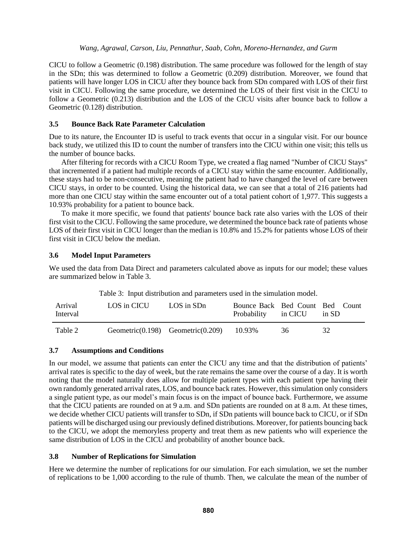CICU to follow a Geometric (0.198) distribution. The same procedure was followed for the length of stay in the SDn; this was determined to follow a Geometric (0.209) distribution. Moreover, we found that patients will have longer LOS in CICU after they bounce back from SDn compared with LOS of their first visit in CICU. Following the same procedure, we determined the LOS of their first visit in the CICU to follow a Geometric (0.213) distribution and the LOS of the CICU visits after bounce back to follow a Geometric (0.128) distribution.

# **3.5 Bounce Back Rate Parameter Calculation**

Due to its nature, the Encounter ID is useful to track events that occur in a singular visit. For our bounce back study, we utilized this ID to count the number of transfers into the CICU within one visit; this tells us the number of bounce backs.

After filtering for records with a CICU Room Type, we created a flag named "Number of CICU Stays" that incremented if a patient had multiple records of a CICU stay within the same encounter. Additionally, these stays had to be non-consecutive, meaning the patient had to have changed the level of care between CICU stays, in order to be counted. Using the historical data, we can see that a total of 216 patients had more than one CICU stay within the same encounter out of a total patient cohort of 1,977. This suggests a 10.93% probability for a patient to bounce back.

To make it more specific, we found that patients' bounce back rate also varies with the LOS of their first visit to the CICU. Following the same procedure, we determined the bounce back rate of patients whose LOS of their first visit in CICU longer than the median is 10.8% and 15.2% for patients whose LOS of their first visit in CICU below the median.

## **3.6 Model Input Parameters**

We used the data from Data Direct and parameters calculated above as inputs for our model; these values are summarized below in Table 3.

|                     | Table 5: Input distribution and parameters used in the simulation model. |                                         |                                                        |    |       |
|---------------------|--------------------------------------------------------------------------|-----------------------------------------|--------------------------------------------------------|----|-------|
| Arrival<br>Interval | LOS in CICU                                                              | LOS in SDn                              | Bounce Back Bed Count Bed Count<br>Probability in CICU |    | in SD |
| Table 2             |                                                                          | Geometric $(0.198)$ Geometric $(0.209)$ | 10.93%                                                 | 36 | 32    |

Table 3: Input distribution and parameters used in the simulation model.

### **3.7 Assumptions and Conditions**

In our model, we assume that patients can enter the CICU any time and that the distribution of patients' arrival rates is specific to the day of week, but the rate remains the same over the course of a day. It is worth noting that the model naturally does allow for multiple patient types with each patient type having their own randomly generated arrival rates, LOS, and bounce back rates. However, this simulation only considers a single patient type, as our model's main focus is on the impact of bounce back. Furthermore, we assume that the CICU patients are rounded on at 9 a.m. and SDn patients are rounded on at 8 a.m. At these times, we decide whether CICU patients will transfer to SDn, if SDn patients will bounce back to CICU, or if SDn patients will be discharged using our previously defined distributions. Moreover, for patients bouncing back to the CICU, we adopt the memoryless property and treat them as new patients who will experience the same distribution of LOS in the CICU and probability of another bounce back.

# **3.8 Number of Replications for Simulation**

Here we determine the number of replications for our simulation. For each simulation, we set the number of replications to be 1,000 according to the rule of thumb. Then, we calculate the mean of the number of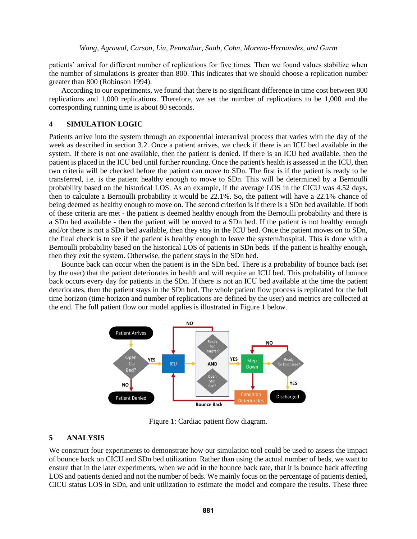patients' arrival for different number of replications for five times. Then we found values stabilize when the number of simulations is greater than 800. This indicates that we should choose a replication number greater than 800 (Robinson 1994).

According to our experiments, we found that there is no significant difference in time cost between 800 replications and 1,000 replications. Therefore, we set the number of replications to be 1,000 and the corresponding running time is about 80 seconds.

### **4 SIMULATION LOGIC**

Patients arrive into the system through an exponential interarrival process that varies with the day of the week as described in section 3.2. Once a patient arrives, we check if there is an ICU bed available in the system. If there is not one available, then the patient is denied. If there is an ICU bed available, then the patient is placed in the ICU bed until further rounding. Once the patient's health is assessed in the ICU, then two criteria will be checked before the patient can move to SDn. The first is if the patient is ready to be transferred, i.e. is the patient healthy enough to move to SDn. This will be determined by a Bernoulli probability based on the historical LOS. As an example, if the average LOS in the CICU was 4.52 days, then to calculate a Bernoulli probability it would be 22.1%. So, the patient will have a 22.1% chance of being deemed as healthy enough to move on. The second criterion is if there is a SDn bed available. If both of these criteria are met - the patient is deemed healthy enough from the Bernoulli probability and there is a SDn bed available - then the patient will be moved to a SDn bed. If the patient is not healthy enough and/or there is not a SDn bed available, then they stay in the ICU bed. Once the patient moves on to SDn, the final check is to see if the patient is healthy enough to leave the system/hospital. This is done with a Bernoulli probability based on the historical LOS of patients in SDn beds. If the patient is healthy enough, then they exit the system. Otherwise, the patient stays in the SDn bed.

Bounce back can occur when the patient is in the SDn bed. There is a probability of bounce back (set by the user) that the patient deteriorates in health and will require an ICU bed. This probability of bounce back occurs every day for patients in the SDn. If there is not an ICU bed available at the time the patient deteriorates, then the patient stays in the SDn bed. The whole patient flow process is replicated for the full time horizon (time horizon and number of replications are defined by the user) and metrics are collected at the end. The full patient flow our model applies is illustrated in Figure 1 below.



Figure 1: Cardiac patient flow diagram.

# **5 ANALYSIS**

We construct four experiments to demonstrate how our simulation tool could be used to assess the impact of bounce back on CICU and SDn bed utilization. Rather than using the actual number of beds, we want to ensure that in the later experiments, when we add in the bounce back rate, that it is bounce back affecting LOS and patients denied and not the number of beds. We mainly focus on the percentage of patients denied, CICU status LOS in SDn, and unit utilization to estimate the model and compare the results. These three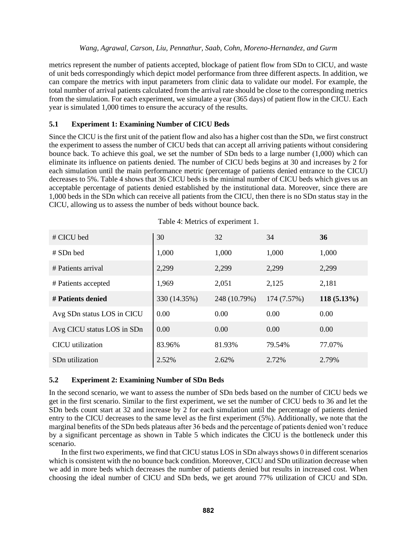metrics represent the number of patients accepted, blockage of patient flow from SDn to CICU, and waste of unit beds correspondingly which depict model performance from three different aspects. In addition, we can compare the metrics with input parameters from clinic data to validate our model. For example, the total number of arrival patients calculated from the arrival rate should be close to the corresponding metrics from the simulation. For each experiment, we simulate a year (365 days) of patient flow in the CICU. Each year is simulated 1,000 times to ensure the accuracy of the results.

# **5.1 Experiment 1: Examining Number of CICU Beds**

Since the CICU is the first unit of the patient flow and also has a higher cost than the SDn, we first construct the experiment to assess the number of CICU beds that can accept all arriving patients without considering bounce back. To achieve this goal, we set the number of SDn beds to a large number (1,000) which can eliminate its influence on patients denied. The number of CICU beds begins at 30 and increases by 2 for each simulation until the main performance metric (percentage of patients denied entrance to the CICU) decreases to 5%. Table 4 shows that 36 CICU beds is the minimal number of CICU beds which gives us an acceptable percentage of patients denied established by the institutional data. Moreover, since there are 1,000 beds in the SDn which can receive all patients from the CICU, then there is no SDn status stay in the CICU, allowing us to assess the number of beds without bounce back.

| # CICU bed                  | 30           | 32           | 34          | 36            |
|-----------------------------|--------------|--------------|-------------|---------------|
| # SDn bed                   | 1,000        | 1,000        | 1,000       | 1,000         |
| # Patients arrival          | 2,299        | 2,299        | 2,299       | 2,299         |
| # Patients accepted         | 1,969        | 2,051        | 2,125       | 2,181         |
| # Patients denied           | 330 (14.35%) | 248 (10.79%) | 174 (7.57%) | $118(5.13\%)$ |
| Avg SDn status LOS in CICU  | 0.00         | 0.00         | 0.00        | 0.00          |
| Avg CICU status LOS in SDn  | 0.00         | 0.00         | 0.00        | 0.00          |
| CICU utilization            | 83.96%       | 81.93%       | 79.54%      | 77.07%        |
| SD <sub>n</sub> utilization | 2.52%        | 2.62%        | 2.72%       | 2.79%         |

Table 4: Metrics of experiment 1.

# **5.2 Experiment 2: Examining Number of SDn Beds**

In the second scenario, we want to assess the number of SDn beds based on the number of CICU beds we get in the first scenario. Similar to the first experiment, we set the number of CICU beds to 36 and let the SDn beds count start at 32 and increase by 2 for each simulation until the percentage of patients denied entry to the CICU decreases to the same level as the first experiment (5%). Additionally, we note that the marginal benefits of the SDn beds plateaus after 36 beds and the percentage of patients denied won't reduce by a significant percentage as shown in Table 5 which indicates the CICU is the bottleneck under this scenario.

In the first two experiments, we find that CICU status LOS in SDn always shows 0 in different scenarios which is consistent with the no bounce back condition. Moreover, CICU and SDn utilization decrease when we add in more beds which decreases the number of patients denied but results in increased cost. When choosing the ideal number of CICU and SDn beds, we get around 77% utilization of CICU and SDn.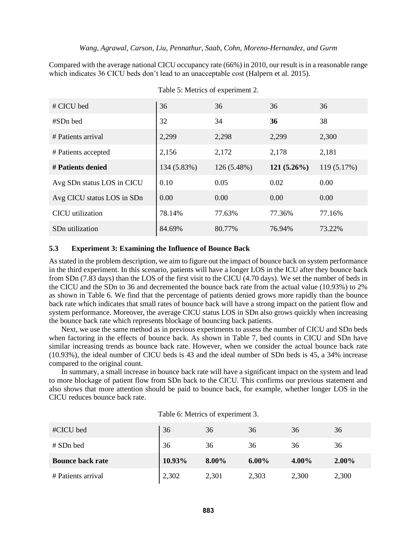Compared with the average national CICU occupancy rate (66%) in 2010, our result is in a reasonable range which indicates 36 CICU beds don't lead to an unacceptable cost (Halpern et al. 2015).

| # CICU bed                  | 36          | 36          | 36            | 36          |
|-----------------------------|-------------|-------------|---------------|-------------|
| #SDn bed                    | 32          | 34          | 36            | 38          |
| # Patients arrival          | 2,299       | 2,298       | 2,299         | 2,300       |
| # Patients accepted         | 2,156       | 2,172       | 2,178         | 2,181       |
| # Patients denied           | 134 (5.83%) | 126 (5.48%) | $121(5.26\%)$ | 119 (5.17%) |
| Avg SDn status LOS in CICU  | 0.10        | 0.05        | 0.02          | 0.00        |
| Avg CICU status LOS in SDn  | 0.00        | 0.00        | 0.00          | 0.00        |
| CICU utilization            | 78.14%      | 77.63%      | 77.36%        | 77.16%      |
| SD <sub>n</sub> utilization | 84.69%      | 80.77%      | 76.94%        | 73.22%      |

Table 5: Metrics of experiment 2.

# **5.3 Experiment 3: Examining the Influence of Bounce Back**

As stated in the problem description, we aim to figure out the impact of bounce back on system performance in the third experiment. In this scenario, patients will have a longer LOS in the ICU after they bounce back from SDn (7.83 days) than the LOS of the first visit to the CICU (4.70 days). We set the number of beds in the CICU and the SDn to 36 and decremented the bounce back rate from the actual value (10.93%) to 2% as shown in Table 6. We find that the percentage of patients denied grows more rapidly than the bounce back rate which indicates that small rates of bounce back will have a strong impact on the patient flow and system performance. Moreover, the average CICU status LOS in SDn also grows quickly when increasing the bounce back rate which represents blockage of bouncing back patients.

Next, we use the same method as in previous experiments to assess the number of CICU and SDn beds when factoring in the effects of bounce back. As shown in Table 7, bed counts in CICU and SDn have similar increasing trends as bounce back rate. However, when we consider the actual bounce back rate (10.93%), the ideal number of CICU beds is 43 and the ideal number of SDn beds is 45, a 34% increase compared to the original count.

In summary, a small increase in bounce back rate will have a significant impact on the system and lead to more blockage of patient flow from SDn back to the CICU. This confirms our previous statement and also shows that more attention should be paid to bounce back, for example, whether longer LOS in the CICU reduces bounce back rate.

| <b>Bounce back rate</b><br># Patients arrival | 10.93%<br>2,302 | 8.00%<br>2,301 | $6.00\%$<br>2,303 | 4.00%<br>2,300 | $2.00\%$<br>2,300 |
|-----------------------------------------------|-----------------|----------------|-------------------|----------------|-------------------|
| # SDn bed                                     | 36              | 36             | 36                | 36             | 36                |
| #CICU bed                                     | 36              | 36             | 36                | 36             | 36                |
|                                               |                 |                |                   |                |                   |

Table 6: Metrics of experiment 3.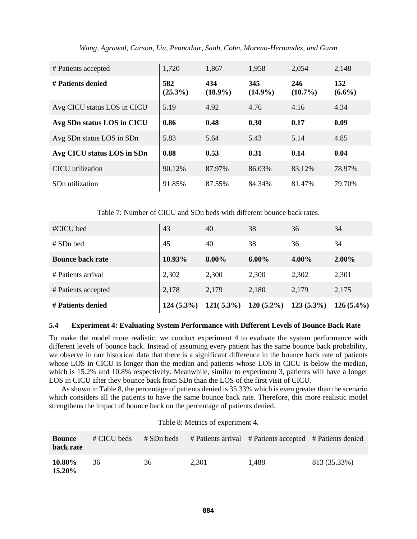| # Patients accepted         | 1,720             | 1,867             | 1,958             | 2,054             | 2,148            |
|-----------------------------|-------------------|-------------------|-------------------|-------------------|------------------|
| # Patients denied           | 582<br>$(25.3\%)$ | 434<br>$(18.9\%)$ | 345<br>$(14.9\%)$ | 246<br>$(10.7\%)$ | 152<br>$(6.6\%)$ |
| Avg CICU status LOS in CICU | 5.19              | 4.92              | 4.76              | 4.16              | 4.34             |
| Avg SDn status LOS in CICU  | 0.86              | 0.48              | 0.30              | 0.17              | 0.09             |
| Avg SDn status LOS in SDn   | 5.83              | 5.64              | 5.43              | 5.14              | 4.85             |
| Avg CICU status LOS in SDn  | 0.88              | 0.53              | 0.31              | 0.14              | 0.04             |
| CICU utilization            | 90.12%            | 87.97%            | 86.03%            | 83.12%            | 78.97%           |
| SD <sub>n</sub> utilization | 91.85%            | 87.55%            | 84.34%            | 81.47%            | 79.70%           |

*Wang, Agrawal, Carson, Liu, Pennathur, Saab, Cohn, Moreno-Hernandez, and Gurm*

Table 7: Number of CICU and SDn beds with different bounce back rates.

| #CICU bed               | 43           | 40           | 38           | 36           | 34           |
|-------------------------|--------------|--------------|--------------|--------------|--------------|
| # SDn bed               | 45           | 40           | 38           | 36           | 34           |
| <b>Bounce back rate</b> | 10.93%       | 8.00%        | $6.00\%$     | 4.00%        | $2.00\%$     |
| # Patients arrival      | 2,302        | 2,300        | 2,300        | 2,302        | 2,301        |
| # Patients accepted     | 2,178        | 2,179        | 2,180        | 2,179        | 2,175        |
| # Patients denied       | $124(5.3\%)$ | $121(5.3\%)$ | $120(5.2\%)$ | $123(5.3\%)$ | $126(5.4\%)$ |

# **5.4 Experiment 4: Evaluating System Performance with Different Levels of Bounce Back Rate**

To make the model more realistic, we conduct experiment 4 to evaluate the system performance with different levels of bounce back. Instead of assuming every patient has the same bounce back probability, we observe in our historical data that there is a significant difference in the bounce back rate of patients whose LOS in CICU is longer than the median and patients whose LOS in CICU is below the median, which is 15.2% and 10.8% respectively. Meanwhile, similar to experiment 3, patients will have a longer LOS in CICU after they bounce back from SDn than the LOS of the first visit of CICU.

As shown in Table 8, the percentage of patients denied is 35.33% which is even greater than the scenario which considers all the patients to have the same bounce back rate. Therefore, this more realistic model strengthens the impact of bounce back on the percentage of patients denied.

| <b>Bounce</b><br>back rate | # CICU beds | # SDn beds |       | # Patients arrival # Patients accepted # Patients denied |              |
|----------------------------|-------------|------------|-------|----------------------------------------------------------|--------------|
| 10.80%<br>15.20%           | 36          | 36         | 2.301 | 1.488                                                    | 813 (35.33%) |

Table 8: Metrics of experiment 4.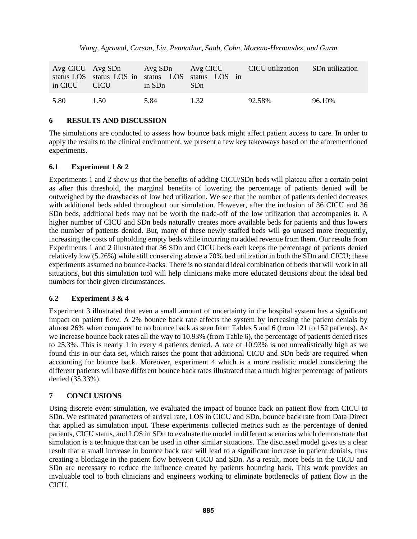|              | Avg CICU Avg SDn Avg SDn Avg CICU |        |                                                                      | CICU utilization | SDn utilization |
|--------------|-----------------------------------|--------|----------------------------------------------------------------------|------------------|-----------------|
| in CICU CICU |                                   | in SDn | status LOS status LOS in status LOS status LOS in<br>SD <sub>n</sub> |                  |                 |
| 5.80         | 1.50                              | 5.84   | 1 32                                                                 | 92.58%           | 96.10%          |

## **6 RESULTS AND DISCUSSION**

The simulations are conducted to assess how bounce back might affect patient access to care. In order to apply the results to the clinical environment, we present a few key takeaways based on the aforementioned experiments.

## **6.1 Experiment 1 & 2**

Experiments 1 and 2 show us that the benefits of adding CICU/SDn beds will plateau after a certain point as after this threshold, the marginal benefits of lowering the percentage of patients denied will be outweighed by the drawbacks of low bed utilization. We see that the number of patients denied decreases with additional beds added throughout our simulation. However, after the inclusion of 36 CICU and 36 SDn beds, additional beds may not be worth the trade-off of the low utilization that accompanies it. A higher number of CICU and SDn beds naturally creates more available beds for patients and thus lowers the number of patients denied. But, many of these newly staffed beds will go unused more frequently, increasing the costs of upholding empty beds while incurring no added revenue from them. Our results from Experiments 1 and 2 illustrated that 36 SDn and CICU beds each keeps the percentage of patients denied relatively low (5.26%) while still conserving above a 70% bed utilization in both the SDn and CICU; these experiments assumed no bounce-backs. There is no standard ideal combination of beds that will work in all situations, but this simulation tool will help clinicians make more educated decisions about the ideal bed numbers for their given circumstances.

# **6.2 Experiment 3 & 4**

Experiment 3 illustrated that even a small amount of uncertainty in the hospital system has a significant impact on patient flow. A 2% bounce back rate affects the system by increasing the patient denials by almost 26% when compared to no bounce back as seen from Tables 5 and 6 (from 121 to 152 patients). As we increase bounce back rates all the way to 10.93% (from Table 6), the percentage of patients denied rises to 25.3%. This is nearly 1 in every 4 patients denied. A rate of 10.93% is not unrealistically high as we found this in our data set, which raises the point that additional CICU and SDn beds are required when accounting for bounce back. Moreover, experiment 4 which is a more realistic model considering the different patients will have different bounce back rates illustrated that a much higher percentage of patients denied (35.33%).

# **7 CONCLUSIONS**

Using discrete event simulation, we evaluated the impact of bounce back on patient flow from CICU to SDn. We estimated parameters of arrival rate, LOS in CICU and SDn, bounce back rate from Data Direct that applied as simulation input. These experiments collected metrics such as the percentage of denied patients, CICU status, and LOS in SDn to evaluate the model in different scenarios which demonstrate that simulation is a technique that can be used in other similar situations. The discussed model gives us a clear result that a small increase in bounce back rate will lead to a significant increase in patient denials, thus creating a blockage in the patient flow between CICU and SDn. As a result, more beds in the CICU and SDn are necessary to reduce the influence created by patients bouncing back. This work provides an invaluable tool to both clinicians and engineers working to eliminate bottlenecks of patient flow in the CICU.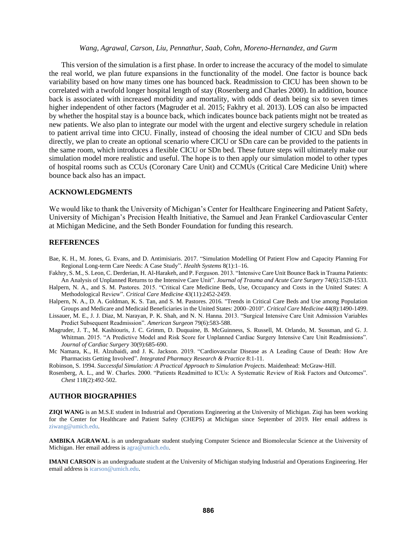This version of the simulation is a first phase. In order to increase the accuracy of the model to simulate the real world, we plan future expansions in the functionality of the model. One factor is bounce back variability based on how many times one has bounced back. Readmission to CICU has been shown to be correlated with a twofold longer hospital length of stay (Rosenberg and Charles 2000). In addition, bounce back is associated with increased morbidity and mortality, with odds of death being six to seven times higher independent of other factors (Magruder et al. 2015; Fakhry et al. 2013). LOS can also be impacted by whether the hospital stay is a bounce back, which indicates bounce back patients might not be treated as new patients. We also plan to integrate our model with the urgent and elective surgery schedule in relation to patient arrival time into CICU. Finally, instead of choosing the ideal number of CICU and SDn beds directly, we plan to create an optional scenario where CICU or SDn care can be provided to the patients in the same room, which introduces a flexible CICU or SDn bed. These future steps will ultimately make our simulation model more realistic and useful. The hope is to then apply our simulation model to other types of hospital rooms such as CCUs (Coronary Care Unit) and CCMUs (Critical Care Medicine Unit) where bounce back also has an impact.

### **ACKNOWLEDGMENTS**

We would like to thank the University of Michigan's Center for Healthcare Engineering and Patient Safety, University of Michigan's Precision Health Initiative, the Samuel and Jean Frankel Cardiovascular Center at Michigan Medicine, and the Seth Bonder Foundation for funding this research.

### **REFERENCES**

- Bae, K. H., M. Jones, G. Evans, and D. Antimisiaris. 2017. "Simulation Modelling Of Patient Flow and Capacity Planning For Regional Long-term Care Needs: A Case Study". *Health Systems* 8(1):1–16.
- Fakhry, S. M., S. Leon, C. Derderian, H. Al-Harakeh, and P. Ferguson. 2013. "Intensive Care Unit Bounce Back in Trauma Patients: An Analysis of Unplanned Returns to the Intensive Care Unit". *Journal of Trauma and Acute Care Surgery* 74(6):1528-1533.
- Halpern, N. A., and S. M. Pastores. 2015. "Critical Care Medicine Beds, Use, Occupancy and Costs in the United States: A Methodological Review". *Critical Care Medicine* 43(11):2452-2459.
- Halpern, N. A., D. A. Goldman, K. S. Tan, and S. M. Pastores. 2016. "Trends in Critical Care Beds and Use among Population Groups and Medicare and Medicaid Beneficiaries in the United States: 2000–2010". *Critical Care Medicine* 44(8):1490-1499.
- Lissauer, M. E., J. J. Diaz, M. Narayan, P. K. Shah, and N. N. Hanna. 2013. "Surgical Intensive Care Unit Admission Variables Predict Subsequent Readmission". *American Surgeon* 79(6):583-588.
- Magruder, J. T., M. Kashiouris, J. C. Grimm, D. Duquaine, B. McGuinness, S. Russell, M. Orlando, M. Sussman, and G. J. Whitman. 2015. "A Predictive Model and Risk Score for Unplanned Cardiac Surgery Intensive Care Unit Readmissions". *Journal of Cardiac Surgery* 30(9):685-690.
- Mc Namara, K., H. Alzubaidi, and J. K. Jackson. 2019. "Cardiovascular Disease as A Leading Cause of Death: How Are Pharmacists Getting Involved". *Integrated Pharmacy Research & Practice* 8:1-11.
- Robinson, S. 1994. *Successful Simulation: A Practical Approach to Simulation Projects.* Maidenhead: McGraw-Hill.
- Rosenberg, A. L., and W. Charles. 2000. "Patients Readmitted to ICUs: A Systematic Review of Risk Factors and Outcomes". *Chest* 118(2):492-502.

### **AUTHOR BIOGRAPHIES**

**ZIQI WANG** is an M.S.E student in Industrial and Operations Engineering at the University of Michigan. Ziqi has been working for the Center for Healthcare and Patient Safety (CHEPS) at Michigan since September of 2019. Her email address is [ziwang@umich.edu.](ziwang@umich.edu)

**AMBIKA AGRAWAL** is an undergraduate student studying Computer Science and Biomolecular Science at the University of Michigan. Her email address i[s agra@umich.edu.](agra@umich.edu)

**IMANI CARSON** is an undergraduate student at the University of Michigan studying Industrial and Operations Engineering. Her email address i[s icarson@umich.edu.](icarson@umich.edu)